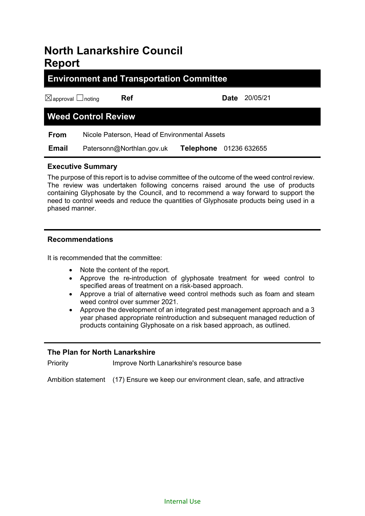# **North Lanarkshire Council Report**

# **Environment and Transportation Committee**

☒approval ☐noting **Ref Date** 20/05/21

# **Weed Control Review**

**From** Nicole Paterson, Head of Environmental Assets

 **Email** Patersonn@Northlan.gov.uk **Telephone** 01236 632655

# **Executive Summary**

The purpose of this report is to advise committee of the outcome of the weed control review. The review was undertaken following concerns raised around the use of products containing Glyphosate by the Council, and to recommend a way forward to support the need to control weeds and reduce the quantities of Glyphosate products being used in a phased manner.

# **Recommendations**

It is recommended that the committee:

- Note the content of the report.
- Approve the re-introduction of glyphosate treatment for weed control to specified areas of treatment on a risk-based approach.
- Approve a trial of alternative weed control methods such as foam and steam weed control over summer 2021.
- Approve the development of an integrated pest management approach and a 3 year phased appropriate reintroduction and subsequent managed reduction of products containing Glyphosate on a risk based approach, as outlined.

# **The Plan for North Lanarkshire**

Priority **IMPROVE North Lanarkshire's resource base** 

Ambition statement (17) Ensure we keep our environment clean, safe, and attractive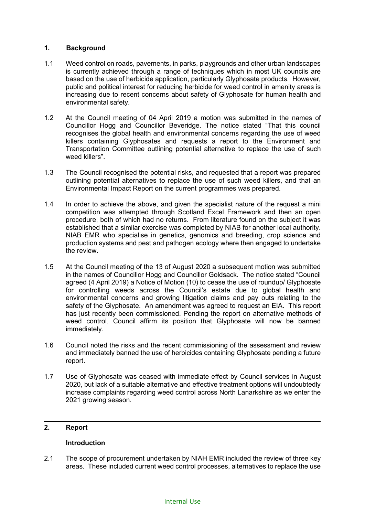#### **1. Background**

- 1.1 Weed control on roads, pavements, in parks, playgrounds and other urban landscapes is currently achieved through a range of techniques which in most UK councils are based on the use of herbicide application, particularly Glyphosate products. However, public and political interest for reducing herbicide for weed control in amenity areas is increasing due to recent concerns about safety of Glyphosate for human health and environmental safety.
- 1.2 At the Council meeting of 04 April 2019 a motion was submitted in the names of Councillor Hogg and Councillor Beveridge. The notice stated "That this council recognises the global health and environmental concerns regarding the use of weed killers containing Glyphosates and requests a report to the Environment and Transportation Committee outlining potential alternative to replace the use of such weed killers".
- 1.3 The Council recognised the potential risks, and requested that a report was prepared outlining potential alternatives to replace the use of such weed killers, and that an Environmental Impact Report on the current programmes was prepared.
- 1.4 In order to achieve the above, and given the specialist nature of the request a mini competition was attempted through Scotland Excel Framework and then an open procedure, both of which had no returns. From literature found on the subject it was established that a similar exercise was completed by NIAB for another local authority. NIAB EMR who specialise in genetics, genomics and breeding, crop science and production systems and pest and pathogen ecology where then engaged to undertake the review.
- 1.5 At the Council meeting of the 13 of August 2020 a subsequent motion was submitted in the names of Councillor Hogg and Councillor Goldsack. The notice stated "Council agreed (4 April 2019) a Notice of Motion (10) to cease the use of roundup/ Glyphosate for controlling weeds across the Council's estate due to global health and environmental concerns and growing litigation claims and pay outs relating to the safety of the Glyphosate. An amendment was agreed to request an EIA. This report has just recently been commissioned. Pending the report on alternative methods of weed control. Council affirm its position that Glyphosate will now be banned immediately.
- 1.6 Council noted the risks and the recent commissioning of the assessment and review and immediately banned the use of herbicides containing Glyphosate pending a future report.
- 1.7 Use of Glyphosate was ceased with immediate effect by Council services in August 2020, but lack of a suitable alternative and effective treatment options will undoubtedly increase complaints regarding weed control across North Lanarkshire as we enter the 2021 growing season.

#### **2. Report**

### **Introduction**

2.1 The scope of procurement undertaken by NIAH EMR included the review of three key areas. These included current weed control processes, alternatives to replace the use

#### Internal Use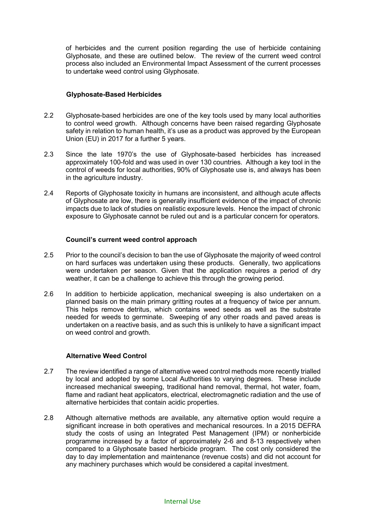of herbicides and the current position regarding the use of herbicide containing Glyphosate, and these are outlined below. The review of the current weed control process also included an Environmental Impact Assessment of the current processes to undertake weed control using Glyphosate.

#### **Glyphosate-Based Herbicides**

- 2.2 Glyphosate-based herbicides are one of the key tools used by many local authorities to control weed growth. Although concerns have been raised regarding Glyphosate safety in relation to human health, it's use as a product was approved by the European Union (EU) in 2017 for a further 5 years.
- 2.3 Since the late 1970's the use of Glyphosate-based herbicides has increased approximately 100-fold and was used in over 130 countries. Although a key tool in the control of weeds for local authorities, 90% of Glyphosate use is, and always has been in the agriculture industry.
- 2.4 Reports of Glyphosate toxicity in humans are inconsistent, and although acute affects of Glyphosate are low, there is generally insufficient evidence of the impact of chronic impacts due to lack of studies on realistic exposure levels. Hence the impact of chronic exposure to Glyphosate cannot be ruled out and is a particular concern for operators.

#### **Council's current weed control approach**

- 2.5 Prior to the council's decision to ban the use of Glyphosate the majority of weed control on hard surfaces was undertaken using these products. Generally, two applications were undertaken per season. Given that the application requires a period of dry weather, it can be a challenge to achieve this through the growing period.
- 2.6 In addition to herbicide application, mechanical sweeping is also undertaken on a planned basis on the main primary gritting routes at a frequency of twice per annum. This helps remove detritus, which contains weed seeds as well as the substrate needed for weeds to germinate. Sweeping of any other roads and paved areas is undertaken on a reactive basis, and as such this is unlikely to have a significant impact on weed control and growth.

#### **Alternative Weed Control**

- 2.7 The review identified a range of alternative weed control methods more recently trialled by local and adopted by some Local Authorities to varying degrees. These include increased mechanical sweeping, traditional hand removal, thermal, hot water, foam, flame and radiant heat applicators, electrical, electromagnetic radiation and the use of alternative herbicides that contain acidic properties.
- 2.8 Although alternative methods are available, any alternative option would require a significant increase in both operatives and mechanical resources. In a 2015 DEFRA study the costs of using an Integrated Pest Management (IPM) or nonherbicide programme increased by a factor of approximately 2-6 and 8-13 respectively when compared to a Glyphosate based herbicide program. The cost only considered the day to day implementation and maintenance (revenue costs) and did not account for any machinery purchases which would be considered a capital investment.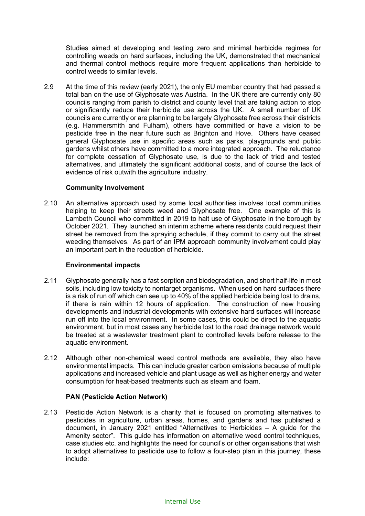Studies aimed at developing and testing zero and minimal herbicide regimes for controlling weeds on hard surfaces, including the UK, demonstrated that mechanical and thermal control methods require more frequent applications than herbicide to control weeds to similar levels.

2.9 At the time of this review (early 2021), the only EU member country that had passed a total ban on the use of Glyphosate was Austria. In the UK there are currently only 80 councils ranging from parish to district and county level that are taking action to stop or significantly reduce their herbicide use across the UK. A small number of UK councils are currently or are planning to be largely Glyphosate free across their districts (e.g. Hammersmith and Fulham), others have committed or have a vision to be pesticide free in the near future such as Brighton and Hove. Others have ceased general Glyphosate use in specific areas such as parks, playgrounds and public gardens whilst others have committed to a more integrated approach. The reluctance for complete cessation of Glyphosate use, is due to the lack of tried and tested alternatives, and ultimately the significant additional costs, and of course the lack of evidence of risk outwith the agriculture industry.

# **Community Involvement**

2.10 An alternative approach used by some local authorities involves local communities helping to keep their streets weed and Glyphosate free. One example of this is Lambeth Council who committed in 2019 to halt use of Glyphosate in the borough by October 2021. They launched an interim scheme where residents could request their street be removed from the spraying schedule, if they commit to carry out the street weeding themselves. As part of an IPM approach community involvement could play an important part in the reduction of herbicide.

#### **Environmental impacts**

- 2.11 Glyphosate generally has a fast sorption and biodegradation, and short half-life in most soils, including low toxicity to nontarget organisms. When used on hard surfaces there is a risk of run off which can see up to 40% of the applied herbicide being lost to drains, if there is rain within 12 hours of application. The construction of new housing developments and industrial developments with extensive hard surfaces will increase run off into the local environment. In some cases, this could be direct to the aquatic environment, but in most cases any herbicide lost to the road drainage network would be treated at a wastewater treatment plant to controlled levels before release to the aquatic environment.
- 2.12 Although other non-chemical weed control methods are available, they also have environmental impacts. This can include greater carbon emissions because of multiple applications and increased vehicle and plant usage as well as higher energy and water consumption for heat-based treatments such as steam and foam.

# **PAN (Pesticide Action Network)**

2.13 Pesticide Action Network is a charity that is focused on promoting alternatives to pesticides in agriculture, urban areas, homes, and gardens and has published a document, in January 2021 entitled "Alternatives to Herbicides – A guide for the Amenity sector". This guide has information on alternative weed control techniques, case studies etc. and highlights the need for council's or other organisations that wish to adopt alternatives to pesticide use to follow a four-step plan in this journey, these include: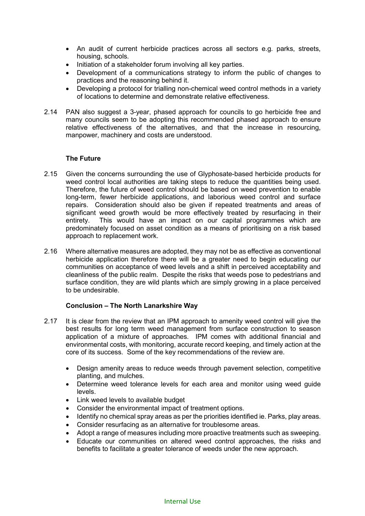- An audit of current herbicide practices across all sectors e.g. parks, streets, housing, schools.
- Initiation of a stakeholder forum involving all key parties.
- Development of a communications strategy to inform the public of changes to practices and the reasoning behind it.
- Developing a protocol for trialling non-chemical weed control methods in a variety of locations to determine and demonstrate relative effectiveness.
- 2.14 PAN also suggest a 3-year, phased approach for councils to go herbicide free and many councils seem to be adopting this recommended phased approach to ensure relative effectiveness of the alternatives, and that the increase in resourcing, manpower, machinery and costs are understood.

#### **The Future**

- 2.15 Given the concerns surrounding the use of Glyphosate-based herbicide products for weed control local authorities are taking steps to reduce the quantities being used. Therefore, the future of weed control should be based on weed prevention to enable long-term, fewer herbicide applications, and laborious weed control and surface repairs. Consideration should also be given if repeated treatments and areas of significant weed growth would be more effectively treated by resurfacing in their entirety. This would have an impact on our capital programmes which are predominately focused on asset condition as a means of prioritising on a risk based approach to replacement work.
- 2.16 Where alternative measures are adopted, they may not be as effective as conventional herbicide application therefore there will be a greater need to begin educating our communities on acceptance of weed levels and a shift in perceived acceptability and cleanliness of the public realm. Despite the risks that weeds pose to pedestrians and surface condition, they are wild plants which are simply growing in a place perceived to be undesirable.

#### **Conclusion – The North Lanarkshire Way**

- 2.17 It is clear from the review that an IPM approach to amenity weed control will give the best results for long term weed management from surface construction to season application of a mixture of approaches. IPM comes with additional financial and environmental costs, with monitoring, accurate record keeping, and timely action at the core of its success. Some of the key recommendations of the review are.
	- Design amenity areas to reduce weeds through payement selection, competitive planting, and mulches.
	- Determine weed tolerance levels for each area and monitor using weed guide levels.
	- Link weed levels to available budget
	- Consider the environmental impact of treatment options.
	- Identify no chemical spray areas as per the priorities identified ie. Parks, play areas.
	- Consider resurfacing as an alternative for troublesome areas.
	- Adopt a range of measures including more proactive treatments such as sweeping.
	- Educate our communities on altered weed control approaches, the risks and benefits to facilitate a greater tolerance of weeds under the new approach.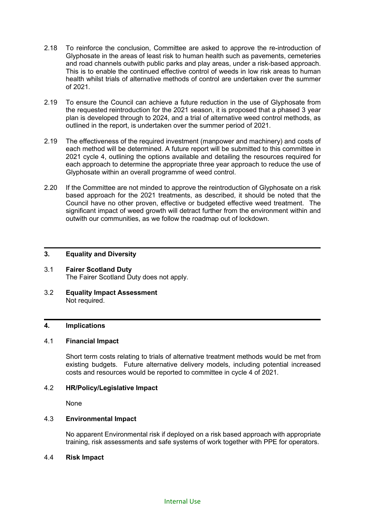- 2.18 To reinforce the conclusion, Committee are asked to approve the re-introduction of Glyphosate in the areas of least risk to human health such as pavements, cemeteries and road channels outwith public parks and play areas, under a risk-based approach. This is to enable the continued effective control of weeds in low risk areas to human health whilst trials of alternative methods of control are undertaken over the summer of 2021.
- 2.19 To ensure the Council can achieve a future reduction in the use of Glyphosate from the requested reintroduction for the 2021 season, it is proposed that a phased 3 year plan is developed through to 2024, and a trial of alternative weed control methods, as outlined in the report, is undertaken over the summer period of 2021.
- 2.19 The effectiveness of the required investment (manpower and machinery) and costs of each method will be determined. A future report will be submitted to this committee in 2021 cycle 4, outlining the options available and detailing the resources required for each approach to determine the appropriate three year approach to reduce the use of Glyphosate within an overall programme of weed control.
- 2.20 If the Committee are not minded to approve the reintroduction of Glyphosate on a risk based approach for the 2021 treatments, as described, it should be noted that the Council have no other proven, effective or budgeted effective weed treatment. The significant impact of weed growth will detract further from the environment within and outwith our communities, as we follow the roadmap out of lockdown.

#### **3. Equality and Diversity**

- 3.1 **Fairer Scotland Duty** The Fairer Scotland Duty does not apply.
- 3.2 **Equality Impact Assessment** Not required.

### **4. Implications**

### 4.1 **Financial Impact**

Short term costs relating to trials of alternative treatment methods would be met from existing budgets. Future alternative delivery models, including potential increased costs and resources would be reported to committee in cycle 4 of 2021.

#### 4.2 **HR/Policy/Legislative Impact**

None

#### 4.3 **Environmental Impact**

No apparent Environmental risk if deployed on a risk based approach with appropriate training, risk assessments and safe systems of work together with PPE for operators.

#### 4.4 **Risk Impact**